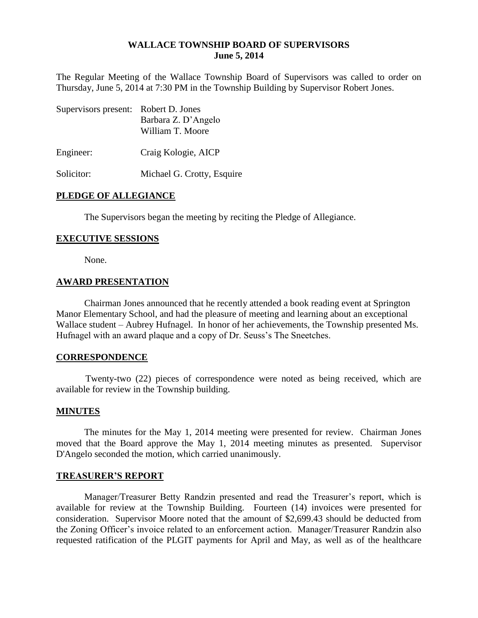#### **WALLACE TOWNSHIP BOARD OF SUPERVISORS June 5, 2014**

The Regular Meeting of the Wallace Township Board of Supervisors was called to order on Thursday, June 5, 2014 at 7:30 PM in the Township Building by Supervisor Robert Jones.

| Supervisors present: Robert D. Jones | Barbara Z. D'Angelo<br>William T. Moore |
|--------------------------------------|-----------------------------------------|
| Engineer:                            | Craig Kologie, AICP                     |
| Solicitor:                           | Michael G. Crotty, Esquire              |

### **PLEDGE OF ALLEGIANCE**

The Supervisors began the meeting by reciting the Pledge of Allegiance.

#### **EXECUTIVE SESSIONS**

None.

#### **AWARD PRESENTATION**

Chairman Jones announced that he recently attended a book reading event at Springton Manor Elementary School, and had the pleasure of meeting and learning about an exceptional Wallace student – Aubrey Hufnagel. In honor of her achievements, the Township presented Ms. Hufnagel with an award plaque and a copy of Dr. Seuss's The Sneetches.

#### **CORRESPONDENCE**

Twenty-two (22) pieces of correspondence were noted as being received, which are available for review in the Township building.

#### **MINUTES**

The minutes for the May 1, 2014 meeting were presented for review. Chairman Jones moved that the Board approve the May 1, 2014 meeting minutes as presented. Supervisor D'Angelo seconded the motion, which carried unanimously.

#### **TREASURER'S REPORT**

Manager/Treasurer Betty Randzin presented and read the Treasurer's report, which is available for review at the Township Building. Fourteen (14) invoices were presented for consideration. Supervisor Moore noted that the amount of \$2,699.43 should be deducted from the Zoning Officer's invoice related to an enforcement action. Manager/Treasurer Randzin also requested ratification of the PLGIT payments for April and May, as well as of the healthcare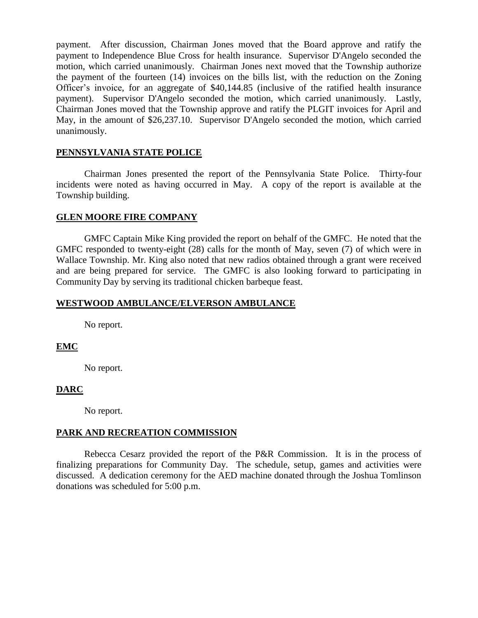payment. After discussion, Chairman Jones moved that the Board approve and ratify the payment to Independence Blue Cross for health insurance. Supervisor D'Angelo seconded the motion, which carried unanimously. Chairman Jones next moved that the Township authorize the payment of the fourteen (14) invoices on the bills list, with the reduction on the Zoning Officer's invoice, for an aggregate of \$40,144.85 (inclusive of the ratified health insurance payment). Supervisor D'Angelo seconded the motion, which carried unanimously. Lastly, Chairman Jones moved that the Township approve and ratify the PLGIT invoices for April and May, in the amount of \$26,237.10. Supervisor D'Angelo seconded the motion, which carried unanimously.

### **PENNSYLVANIA STATE POLICE**

Chairman Jones presented the report of the Pennsylvania State Police. Thirty-four incidents were noted as having occurred in May. A copy of the report is available at the Township building.

### **GLEN MOORE FIRE COMPANY**

GMFC Captain Mike King provided the report on behalf of the GMFC. He noted that the GMFC responded to twenty-eight (28) calls for the month of May, seven (7) of which were in Wallace Township. Mr. King also noted that new radios obtained through a grant were received and are being prepared for service. The GMFC is also looking forward to participating in Community Day by serving its traditional chicken barbeque feast.

### **WESTWOOD AMBULANCE/ELVERSON AMBULANCE**

No report.

# **EMC**

No report.

# **DARC**

No report.

# **PARK AND RECREATION COMMISSION**

Rebecca Cesarz provided the report of the P&R Commission. It is in the process of finalizing preparations for Community Day. The schedule, setup, games and activities were discussed. A dedication ceremony for the AED machine donated through the Joshua Tomlinson donations was scheduled for 5:00 p.m.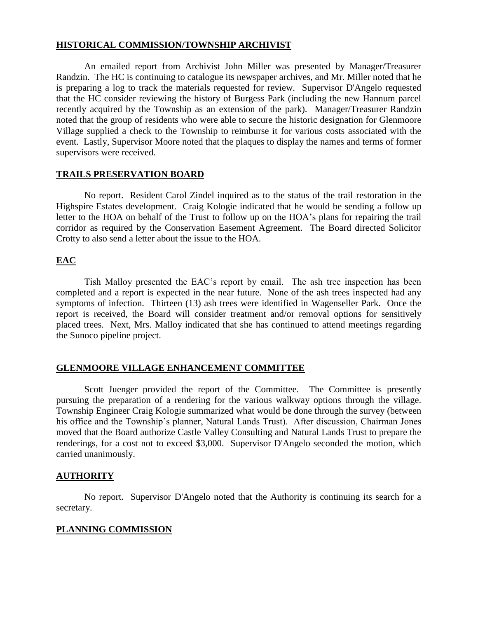### **HISTORICAL COMMISSION/TOWNSHIP ARCHIVIST**

An emailed report from Archivist John Miller was presented by Manager/Treasurer Randzin. The HC is continuing to catalogue its newspaper archives, and Mr. Miller noted that he is preparing a log to track the materials requested for review. Supervisor D'Angelo requested that the HC consider reviewing the history of Burgess Park (including the new Hannum parcel recently acquired by the Township as an extension of the park). Manager/Treasurer Randzin noted that the group of residents who were able to secure the historic designation for Glenmoore Village supplied a check to the Township to reimburse it for various costs associated with the event. Lastly, Supervisor Moore noted that the plaques to display the names and terms of former supervisors were received.

### **TRAILS PRESERVATION BOARD**

No report. Resident Carol Zindel inquired as to the status of the trail restoration in the Highspire Estates development. Craig Kologie indicated that he would be sending a follow up letter to the HOA on behalf of the Trust to follow up on the HOA's plans for repairing the trail corridor as required by the Conservation Easement Agreement. The Board directed Solicitor Crotty to also send a letter about the issue to the HOA.

# **EAC**

Tish Malloy presented the EAC's report by email. The ash tree inspection has been completed and a report is expected in the near future. None of the ash trees inspected had any symptoms of infection. Thirteen (13) ash trees were identified in Wagenseller Park. Once the report is received, the Board will consider treatment and/or removal options for sensitively placed trees. Next, Mrs. Malloy indicated that she has continued to attend meetings regarding the Sunoco pipeline project.

# **GLENMOORE VILLAGE ENHANCEMENT COMMITTEE**

Scott Juenger provided the report of the Committee. The Committee is presently pursuing the preparation of a rendering for the various walkway options through the village. Township Engineer Craig Kologie summarized what would be done through the survey (between his office and the Township's planner, Natural Lands Trust). After discussion, Chairman Jones moved that the Board authorize Castle Valley Consulting and Natural Lands Trust to prepare the renderings, for a cost not to exceed \$3,000. Supervisor D'Angelo seconded the motion, which carried unanimously.

# **AUTHORITY**

No report. Supervisor D'Angelo noted that the Authority is continuing its search for a secretary.

# **PLANNING COMMISSION**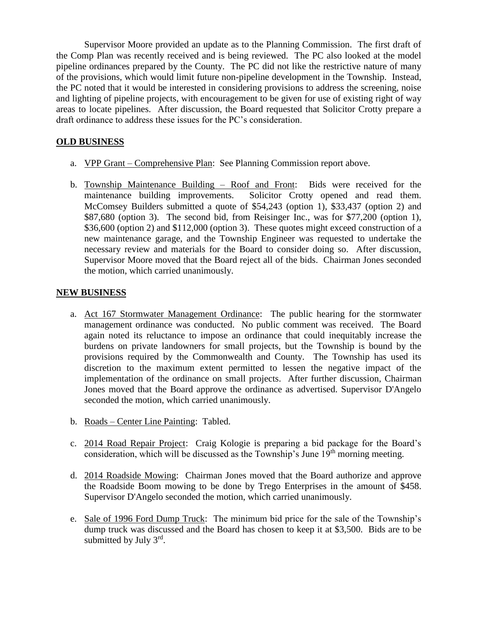Supervisor Moore provided an update as to the Planning Commission. The first draft of the Comp Plan was recently received and is being reviewed. The PC also looked at the model pipeline ordinances prepared by the County. The PC did not like the restrictive nature of many of the provisions, which would limit future non-pipeline development in the Township. Instead, the PC noted that it would be interested in considering provisions to address the screening, noise and lighting of pipeline projects, with encouragement to be given for use of existing right of way areas to locate pipelines. After discussion, the Board requested that Solicitor Crotty prepare a draft ordinance to address these issues for the PC's consideration.

# **OLD BUSINESS**

- a. VPP Grant Comprehensive Plan: See Planning Commission report above.
- b. Township Maintenance Building Roof and Front: Bids were received for the maintenance building improvements. Solicitor Crotty opened and read them. McComsey Builders submitted a quote of \$54,243 (option 1), \$33,437 (option 2) and \$87,680 (option 3). The second bid, from Reisinger Inc., was for \$77,200 (option 1), \$36,600 (option 2) and \$112,000 (option 3). These quotes might exceed construction of a new maintenance garage, and the Township Engineer was requested to undertake the necessary review and materials for the Board to consider doing so. After discussion, Supervisor Moore moved that the Board reject all of the bids. Chairman Jones seconded the motion, which carried unanimously.

### **NEW BUSINESS**

- a. Act 167 Stormwater Management Ordinance: The public hearing for the stormwater management ordinance was conducted. No public comment was received. The Board again noted its reluctance to impose an ordinance that could inequitably increase the burdens on private landowners for small projects, but the Township is bound by the provisions required by the Commonwealth and County. The Township has used its discretion to the maximum extent permitted to lessen the negative impact of the implementation of the ordinance on small projects. After further discussion, Chairman Jones moved that the Board approve the ordinance as advertised. Supervisor D'Angelo seconded the motion, which carried unanimously.
- b. Roads Center Line Painting: Tabled.
- c. 2014 Road Repair Project: Craig Kologie is preparing a bid package for the Board's consideration, which will be discussed as the Township's June  $19<sup>th</sup>$  morning meeting.
- d. 2014 Roadside Mowing: Chairman Jones moved that the Board authorize and approve the Roadside Boom mowing to be done by Trego Enterprises in the amount of \$458. Supervisor D'Angelo seconded the motion, which carried unanimously.
- e. Sale of 1996 Ford Dump Truck: The minimum bid price for the sale of the Township's dump truck was discussed and the Board has chosen to keep it at \$3,500. Bids are to be submitted by July  $3<sup>rd</sup>$ .